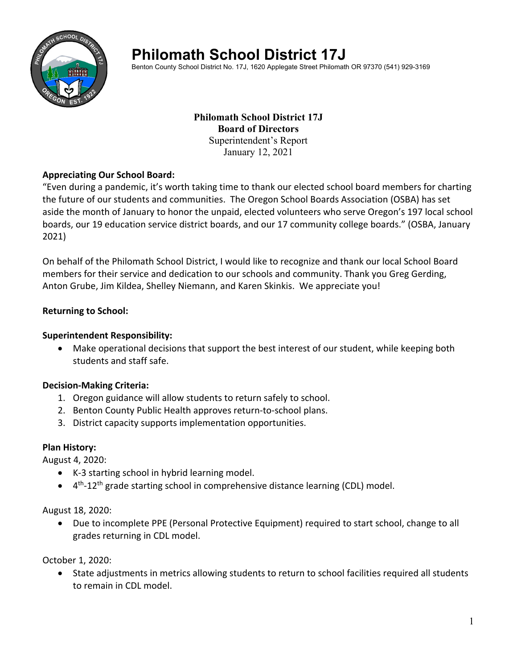

# **Philomath School District 17J**

Benton County School District No. 17J, 1620 Applegate Street Philomath OR 97370 (541) 929-3169

## **Philomath School District 17J Board of Directors**  Superintendent's Report January 12, 2021

## **Appreciating Our School Board:**

"Even during a pandemic, it's worth taking time to thank our elected school board members for charting the future of our students and communities. The Oregon School Boards Association (OSBA) has set aside the month of January to honor the unpaid, elected volunteers who serve Oregon's 197 local school boards, our 19 education service district boards, and our 17 community college boards." (OSBA, January 2021)

On behalf of the Philomath School District, I would like to recognize and thank our local School Board members for their service and dedication to our schools and community. Thank you Greg Gerding, Anton Grube, Jim Kildea, Shelley Niemann, and Karen Skinkis. We appreciate you!

#### **Returning to School:**

#### **Superintendent Responsibility:**

 Make operational decisions that support the best interest of our student, while keeping both students and staff safe.

## **Decision‐Making Criteria:**

- 1. Oregon guidance will allow students to return safely to school.
- 2. Benton County Public Health approves return-to-school plans.
- 3. District capacity supports implementation opportunities.

#### **Plan History:**

August 4, 2020:

- K-3 starting school in hybrid learning model.
- $\bullet$  4<sup>th</sup>-12<sup>th</sup> grade starting school in comprehensive distance learning (CDL) model.

August 18, 2020:

 Due to incomplete PPE (Personal Protective Equipment) required to start school, change to all grades returning in CDL model.

October 1, 2020:

 State adjustments in metrics allowing students to return to school facilities required all students to remain in CDL model.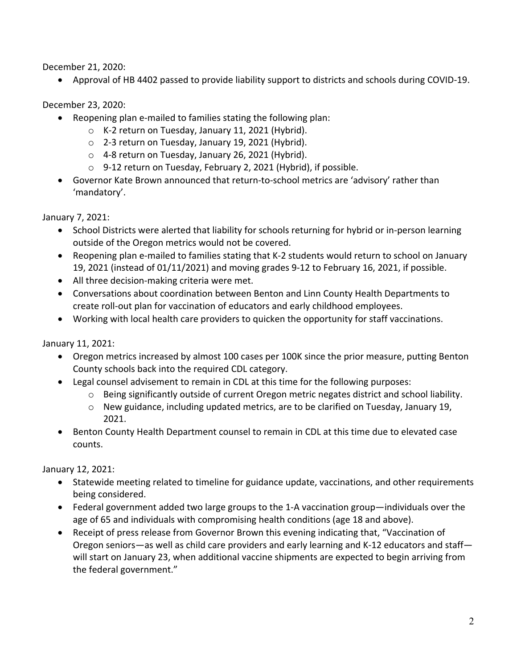December 21, 2020:

Approval of HB 4402 passed to provide liability support to districts and schools during COVID‐19.

December 23, 2020:

- Reopening plan e-mailed to families stating the following plan:
	- o K‐2 return on Tuesday, January 11, 2021 (Hybrid).
	- o 2‐3 return on Tuesday, January 19, 2021 (Hybrid).
	- o 4‐8 return on Tuesday, January 26, 2021 (Hybrid).
	- o 9‐12 return on Tuesday, February 2, 2021 (Hybrid), if possible.
- Governor Kate Brown announced that return-to-school metrics are 'advisory' rather than 'mandatory'.

January 7, 2021:

- School Districts were alerted that liability for schools returning for hybrid or in-person learning outside of the Oregon metrics would not be covered.
- Reopening plan e-mailed to families stating that K-2 students would return to school on January 19, 2021 (instead of 01/11/2021) and moving grades 9‐12 to February 16, 2021, if possible.
- All three decision-making criteria were met.
- Conversations about coordination between Benton and Linn County Health Departments to create roll‐out plan for vaccination of educators and early childhood employees.
- Working with local health care providers to quicken the opportunity for staff vaccinations.

January 11, 2021:

- Oregon metrics increased by almost 100 cases per 100K since the prior measure, putting Benton County schools back into the required CDL category.
- Legal counsel advisement to remain in CDL at this time for the following purposes:
	- o Being significantly outside of current Oregon metric negates district and school liability.
	- $\circ$  New guidance, including updated metrics, are to be clarified on Tuesday, January 19, 2021.
- Benton County Health Department counsel to remain in CDL at this time due to elevated case counts.

January 12, 2021:

- Statewide meeting related to timeline for guidance update, vaccinations, and other requirements being considered.
- Federal government added two large groups to the 1‐A vaccination group—individuals over the age of 65 and individuals with compromising health conditions (age 18 and above).
- Receipt of press release from Governor Brown this evening indicating that, "Vaccination of Oregon seniors—as well as child care providers and early learning and K‐12 educators and staff will start on January 23, when additional vaccine shipments are expected to begin arriving from the federal government."